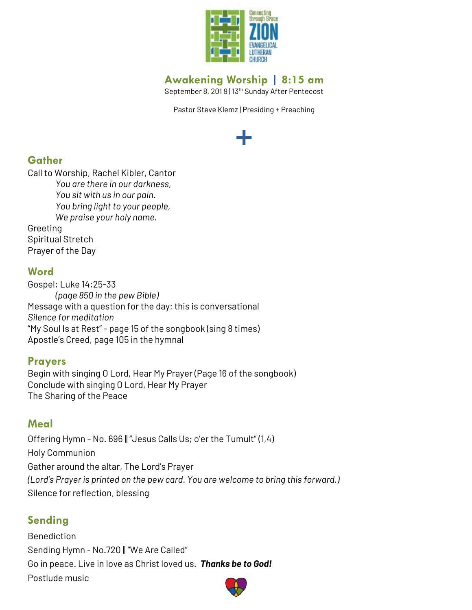

# **Awakening Worship | 8:15 am**

September 8, 2019 | 13<sup>th</sup> Sunday After Pentecost

Pastor Steve Klemz | Presiding + Preaching

# **+**

## **Gather**

Call to Worship, Rachel Kibler, Cantor *You are there in our darkness, You sit with us in our pain. You bring light to your people, We praise your holy name.* Greeting Spiritual Stretch Prayer of the Day

## **Word**

Gospel: Luke 14:25-33 *(page 850 in the pew Bible)* Message with a question for the day; this is conversational *Silence for meditation* "My Soul Is at Rest" - page 15 of the songbook (sing 8 times) Apostle's Creed, page 105 in the hymnal

### **Prayers**

Begin with singing O Lord, Hear My Prayer (Page 16 of the songbook) Conclude with singing O Lord, Hear My Prayer The Sharing of the Peace

## **Meal**

Offering Hymn - No. 696 || "Jesus Calls Us; o'er the Tumult" (1,4) Holy Communion Gather around the altar, The Lord's Prayer *(Lord's Prayer is printed on the pew card. You are welcome to bring this forward.)* Silence for reflection, blessing

# **Sending**

Benediction Sending Hymn - No.720 || "We Are Called" Go in peace. Live in love as Christ loved us. *Thanks be to God!* Postlude music